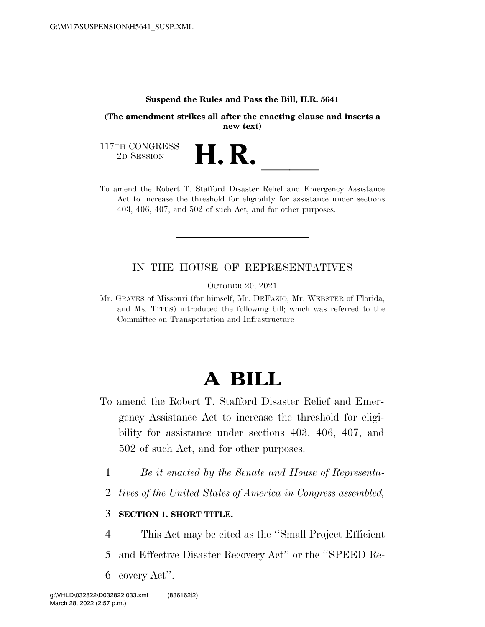#### **Suspend the Rules and Pass the Bill, H.R. 5641**

**(The amendment strikes all after the enacting clause and inserts a new text)** 

117TH CONGRESS<br>2D SESSION

117TH CONGRESS<br>
2D SESSION<br>
To amend the Robert T. Stafford Disaster Relief and Emergency Assistance Act to increase the threshold for eligibility for assistance under sections 403, 406, 407, and 502 of such Act, and for other purposes.

### IN THE HOUSE OF REPRESENTATIVES

OCTOBER 20, 2021

Mr. GRAVES of Missouri (for himself, Mr. DEFAZIO, Mr. WEBSTER of Florida, and Ms. TITUS) introduced the following bill; which was referred to the Committee on Transportation and Infrastructure

## **A BILL**

- To amend the Robert T. Stafford Disaster Relief and Emergency Assistance Act to increase the threshold for eligibility for assistance under sections 403, 406, 407, and 502 of such Act, and for other purposes.
	- 1 *Be it enacted by the Senate and House of Representa-*
	- 2 *tives of the United States of America in Congress assembled,*

### 3 **SECTION 1. SHORT TITLE.**

- 4 This Act may be cited as the ''Small Project Efficient
- 5 and Effective Disaster Recovery Act'' or the ''SPEED Re-
- 6 covery Act''.